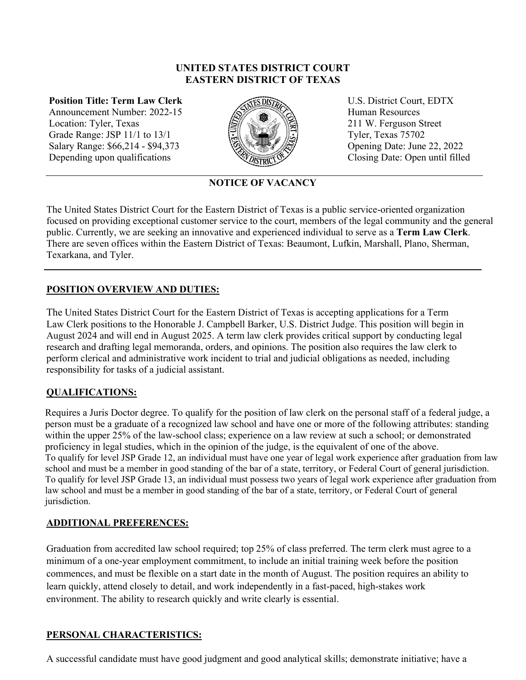### **UNITED STATES DISTRICT COURT EASTERN DISTRICT OF TEXAS**

**Position Title: Term Law Clerk**  Announcement Number: 2022-15 Location: Tyler, Texas Grade Range: JSP 11/1 to 13/1 Salary Range: \$66,214 - \$94,373 Depending upon qualifications



U.S. District Court, EDTX Human Resources 211 W. Ferguson Street Tyler, Texas 75702 Opening Date: June 22, 2022 Closing Date: Open until filled

**NOTICE OF VACANCY**

The United States District Court for the Eastern District of Texas is a public service-oriented organization focused on providing exceptional customer service to the court, members of the legal community and the general public. Currently, we are seeking an innovative and experienced individual to serve as a **Term Law Clerk**. There are seven offices within the Eastern District of Texas: Beaumont, Lufkin, Marshall, Plano, Sherman, Texarkana, and Tyler.

# **POSITION OVERVIEW AND DUTIES:**

The United States District Court for the Eastern District of Texas is accepting applications for a Term Law Clerk positions to the Honorable J. Campbell Barker, U.S. District Judge. This position will begin in August 2024 and will end in August 2025. A term law clerk provides critical support by conducting legal research and drafting legal memoranda, orders, and opinions. The position also requires the law clerk to perform clerical and administrative work incident to trial and judicial obligations as needed, including responsibility for tasks of a judicial assistant.

### **QUALIFICATIONS:**

Requires a Juris Doctor degree. To qualify for the position of law clerk on the personal staff of a federal judge, a person must be a graduate of a recognized law school and have one or more of the following attributes: standing within the upper 25% of the law-school class; experience on a law review at such a school; or demonstrated proficiency in legal studies, which in the opinion of the judge, is the equivalent of one of the above. To qualify for level JSP Grade 12, an individual must have one year of legal work experience after graduation from law school and must be a member in good standing of the bar of a state, territory, or Federal Court of general jurisdiction. To qualify for level JSP Grade 13, an individual must possess two years of legal work experience after graduation from law school and must be a member in good standing of the bar of a state, territory, or Federal Court of general jurisdiction.

### **ADDITIONAL PREFERENCES:**

Graduation from accredited law school required; top 25% of class preferred. The term clerk must agree to a minimum of a one-year employment commitment, to include an initial training week before the position commences, and must be flexible on a start date in the month of August. The position requires an ability to learn quickly, attend closely to detail, and work independently in a fast-paced, high-stakes work environment. The ability to research quickly and write clearly is essential.

### **PERSONAL CHARACTERISTICS:**

A successful candidate must have good judgment and good analytical skills; demonstrate initiative; have a